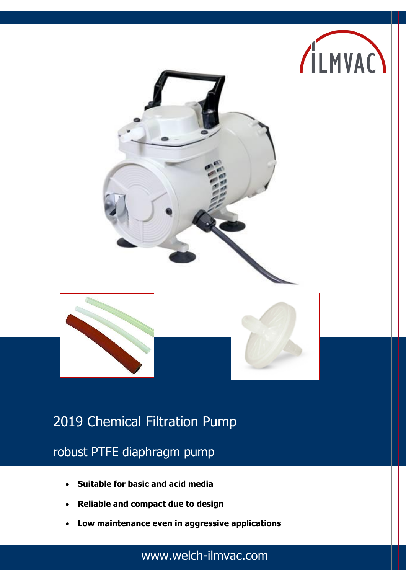



# 2019 Chemical Filtration Pump

robust PTFE diaphragm pump

- **Suitable for basic and acid media**
- **Reliable and compact due to design**
- **Low maintenance even in aggressive applications**

www.welch-ilmvac.com